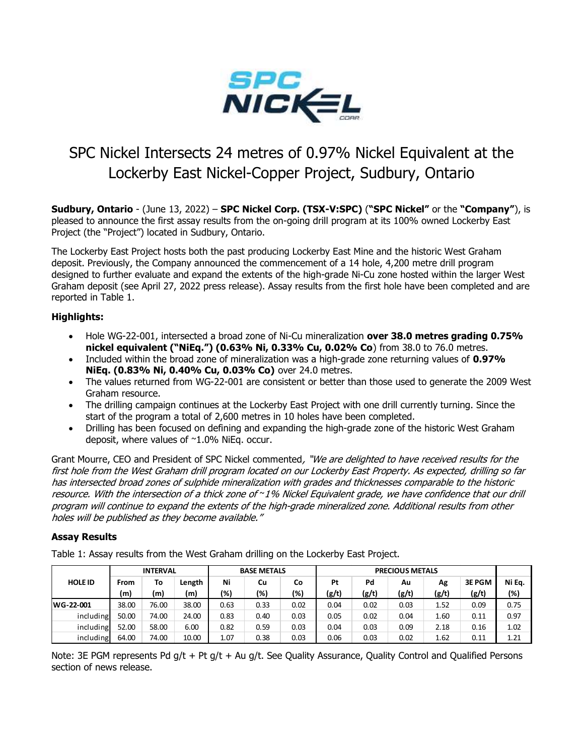

# SPC Nickel Intersects 24 metres of 0.97% Nickel Equivalent at the Lockerby East Nickel-Copper Project, Sudbury, Ontario

Sudbury, Ontario - (June 13, 2022) – SPC Nickel Corp. (TSX-V:SPC) ("SPC Nickel" or the "Company"), is pleased to announce the first assay results from the on-going drill program at its 100% owned Lockerby East Project (the "Project") located in Sudbury, Ontario.

The Lockerby East Project hosts both the past producing Lockerby East Mine and the historic West Graham deposit. Previously, the Company announced the commencement of a 14 hole, 4,200 metre drill program designed to further evaluate and expand the extents of the high-grade Ni-Cu zone hosted within the larger West Graham deposit (see April 27, 2022 press release). Assay results from the first hole have been completed and are reported in Table 1.

# Highlights:

- Hole WG-22-001, intersected a broad zone of Ni-Cu mineralization over 38.0 metres grading 0.75% nickel equivalent ("NiEq.") (0.63% Ni, 0.33% Cu, 0.02% Co) from 38.0 to 76.0 metres.
- Included within the broad zone of mineralization was a high-grade zone returning values of 0.97% NiEq. (0.83% Ni, 0.40% Cu, 0.03% Co) over 24.0 metres.
- The values returned from WG-22-001 are consistent or better than those used to generate the 2009 West Graham resource.
- The drilling campaign continues at the Lockerby East Project with one drill currently turning. Since the start of the program a total of 2,600 metres in 10 holes have been completed.
- Drilling has been focused on defining and expanding the high-grade zone of the historic West Graham deposit, where values of ~1.0% NiEq. occur.

# Assay Results

|                                                                                                                   |             |                 |        |                                             |                    |      |                                                                                      |       |                        |       | Hole WG-22-001, intersected a broad zone of Ni-Cu mineralization over 38.0 metres grading 0.75%          |        |
|-------------------------------------------------------------------------------------------------------------------|-------------|-----------------|--------|---------------------------------------------|--------------------|------|--------------------------------------------------------------------------------------|-------|------------------------|-------|----------------------------------------------------------------------------------------------------------|--------|
|                                                                                                                   |             |                 |        |                                             |                    |      | nickel equivalent ("NiEq.") (0.63% Ni, 0.33% Cu, 0.02% Co) from 38.0 to 76.0 metres. |       |                        |       |                                                                                                          |        |
|                                                                                                                   |             |                 |        |                                             |                    |      |                                                                                      |       |                        |       | Included within the broad zone of mineralization was a high-grade zone returning values of 0.97%         |        |
|                                                                                                                   |             |                 |        |                                             |                    |      | NiEq. (0.83% Ni, 0.40% Cu, 0.03% Co) over 24.0 metres.                               |       |                        |       |                                                                                                          |        |
|                                                                                                                   |             |                 |        |                                             |                    |      |                                                                                      |       |                        |       | The values returned from WG-22-001 are consistent or better than those used to generate the 2009 West    |        |
| Graham resource.                                                                                                  |             |                 |        |                                             |                    |      |                                                                                      |       |                        |       |                                                                                                          |        |
|                                                                                                                   |             |                 |        |                                             |                    |      |                                                                                      |       |                        |       | The drilling campaign continues at the Lockerby East Project with one drill currently turning. Since the |        |
|                                                                                                                   |             |                 |        |                                             |                    |      | start of the program a total of 2,600 metres in 10 holes have been completed.        |       |                        |       |                                                                                                          |        |
|                                                                                                                   |             |                 |        | deposit, where values of ~1.0% NiEq. occur. |                    |      |                                                                                      |       |                        |       | Drilling has been focused on defining and expanding the high-grade zone of the historic West Graham      |        |
|                                                                                                                   |             |                 |        |                                             |                    |      |                                                                                      |       |                        |       |                                                                                                          |        |
| Grant Mourre, CEO and President of SPC Nickel commented, "We are delighted to have received results for the       |             |                 |        |                                             |                    |      |                                                                                      |       |                        |       |                                                                                                          |        |
| first hole from the West Graham drill program located on our Lockerby East Property. As expected, drilling so far |             |                 |        |                                             |                    |      |                                                                                      |       |                        |       |                                                                                                          |        |
| has intersected broad zones of sulphide mineralization with grades and thicknesses comparable to the historic     |             |                 |        |                                             |                    |      |                                                                                      |       |                        |       |                                                                                                          |        |
| resource. With the intersection of a thick zone of ~1% Nickel Equivalent grade, we have confidence that our drill |             |                 |        |                                             |                    |      |                                                                                      |       |                        |       |                                                                                                          |        |
| program will continue to expand the extents of the high-grade mineralized zone. Additional results from other     |             |                 |        |                                             |                    |      |                                                                                      |       |                        |       |                                                                                                          |        |
| holes will be published as they become available."                                                                |             |                 |        |                                             |                    |      |                                                                                      |       |                        |       |                                                                                                          |        |
|                                                                                                                   |             |                 |        |                                             |                    |      |                                                                                      |       |                        |       |                                                                                                          |        |
|                                                                                                                   |             |                 |        |                                             |                    |      |                                                                                      |       |                        |       |                                                                                                          |        |
| <b>Assay Results</b>                                                                                              |             |                 |        |                                             |                    |      |                                                                                      |       |                        |       |                                                                                                          |        |
| Table 1: Assay results from the West Graham drilling on the Lockerby East Project.                                |             |                 |        |                                             |                    |      |                                                                                      |       |                        |       |                                                                                                          |        |
|                                                                                                                   |             | <b>INTERVAL</b> |        |                                             | <b>BASE METALS</b> |      |                                                                                      |       | <b>PRECIOUS METALS</b> |       |                                                                                                          |        |
| <b>HOLE ID</b>                                                                                                    | <b>From</b> | To              | Length | Ni                                          | Cu                 | Co   | Pt                                                                                   | Pd    | Au                     | Ag    | 3E PGM                                                                                                   | Ni Eq. |
|                                                                                                                   | (m)         | (m)             | (m)    | (%)                                         | (%)                | (%)  | (g/t)                                                                                | (g/t) | (g/t)                  | (g/t) | (g/t)                                                                                                    | (%)    |
| WG-22-001                                                                                                         | 38.00       | 76.00           | 38.00  | 0.63                                        | 0.33               | 0.02 | 0.04                                                                                 | 0.02  | 0.03                   | 1.52  | 0.09                                                                                                     | 0.75   |
| including                                                                                                         | 50.00       | 74.00           | 24.00  | 0.83                                        | 0.40               | 0.03 | 0.05                                                                                 | 0.02  | 0.04                   | 1.60  | 0.11                                                                                                     | 0.97   |
| including                                                                                                         | 52.00       | 58.00           | 6.00   | 0.82                                        | 0.59               | 0.03 | 0.04                                                                                 | 0.03  | 0.09                   | 2.18  | 0.16                                                                                                     | 1.02   |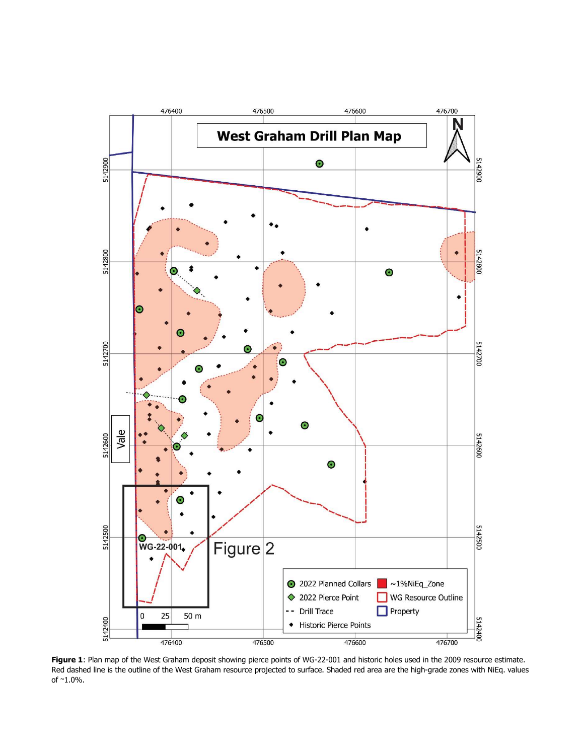

Figure 1: Plan map of the West Graham deposit showing pierce points of WG-22-001 and historic holes used in the 2009 resource estimate. Red dashed line is the outline of the West Graham resource projected to surface. Shaded red area are the high-grade zones with NiEq. values of ~1.0%.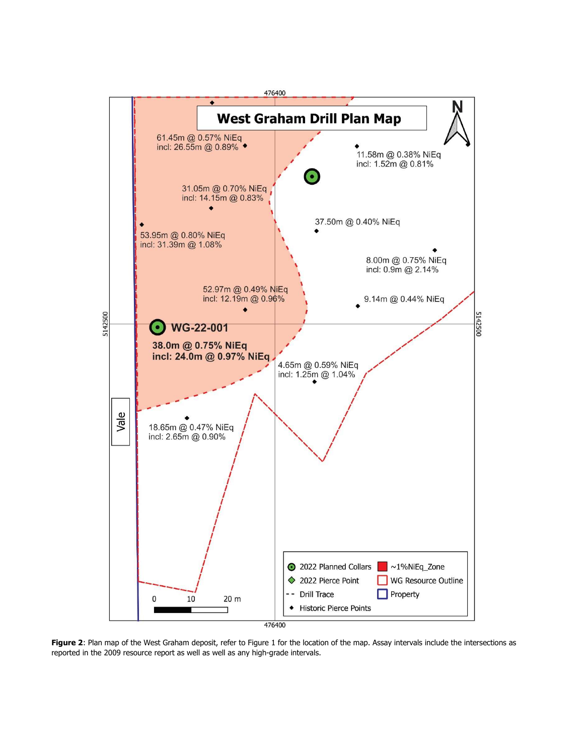

Figure 2: Plan map of the West Graham deposit, refer to Figure 1 for the location of the map. Assay intervals include the intersections as reported in the 2009 resource report as well as well as any high-grade intervals.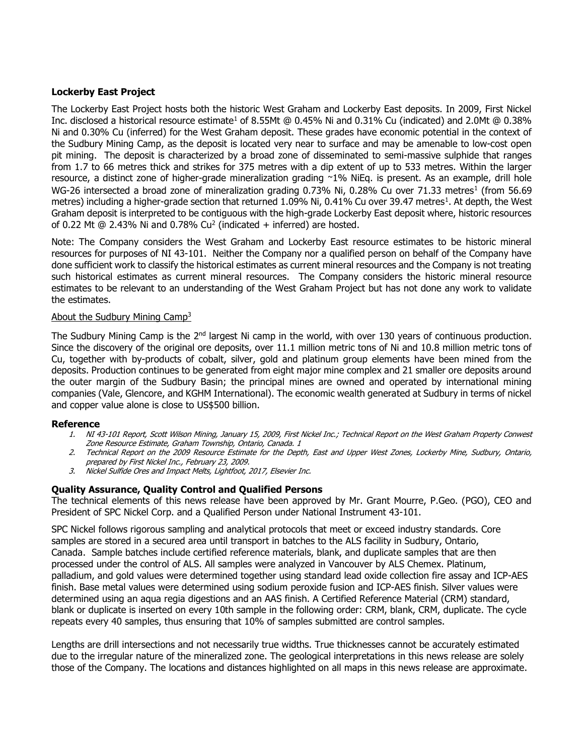# Lockerby East Project

The Lockerby East Project hosts both the historic West Graham and Lockerby East deposits. In 2009, First Nickel Inc. disclosed a historical resource estimate<sup>1</sup> of 8.55Mt @ 0.45% Ni and 0.31% Cu (indicated) and 2.0Mt @ 0.38% Ni and 0.30% Cu (inferred) for the West Graham deposit. These grades have economic potential in the context of the Sudbury Mining Camp, as the deposit is located very near to surface and may be amenable to low-cost open pit mining. The deposit is characterized by a broad zone of disseminated to semi-massive sulphide that ranges from 1.7 to 66 metres thick and strikes for 375 metres with a dip extent of up to 533 metres. Within the larger resource, a distinct zone of higher-grade mineralization grading ~1% NiEq. is present. As an example, drill hole WG-26 intersected a broad zone of mineralization grading 0.73% Ni, 0.28% Cu over 71.33 metres<sup>1</sup> (from 56.69 metres) including a higher-grade section that returned 1.09% Ni, 0.41% Cu over 39.47 metres<sup>1</sup>. At depth, the West Graham deposit is interpreted to be contiguous with the high-grade Lockerby East deposit where, historic resources of 0.22 Mt @ 2.43% Ni and 0.78% Cu<sup>2</sup> (indicated  $+$  inferred) are hosted.

Note: The Company considers the West Graham and Lockerby East resource estimates to be historic mineral resources for purposes of NI 43-101. Neither the Company nor a qualified person on behalf of the Company have done sufficient work to classify the historical estimates as current mineral resources and the Company is not treating such historical estimates as current mineral resources. The Company considers the historic mineral resource estimates to be relevant to an understanding of the West Graham Project but has not done any work to validate the estimates.

#### About the Sudbury Mining Camp<sup>3</sup>

The Sudbury Mining Camp is the 2<sup>nd</sup> largest Ni camp in the world, with over 130 years of continuous production. Since the discovery of the original ore deposits, over 11.1 million metric tons of Ni and 10.8 million metric tons of Cu, together with by-products of cobalt, silver, gold and platinum group elements have been mined from the deposits. Production continues to be generated from eight major mine complex and 21 smaller ore deposits around the outer margin of the Sudbury Basin; the principal mines are owned and operated by international mining companies (Vale, Glencore, and KGHM International). The economic wealth generated at Sudbury in terms of nickel and copper value alone is close to US\$500 billion.

#### Reference

- 1. NI 43-101 Report, Scott Wilson Mining, January 15, 2009, First Nickel Inc.; Technical Report on the West Graham Property Conwest Zone Resource Estimate, Graham Township, Ontario, Canada. 1
- 2. Technical Report on the 2009 Resource Estimate for the Depth, East and Upper West Zones, Lockerby Mine, Sudbury, Ontario, prepared by First Nickel Inc., February 23, 2009.
- 3. Nickel Sulfide Ores and Impact Melts, Lightfoot, 2017, Elsevier Inc.

### Quality Assurance, Quality Control and Qualified Persons

The technical elements of this news release have been approved by Mr. Grant Mourre, P.Geo. (PGO), CEO and President of SPC Nickel Corp. and a Qualified Person under National Instrument 43-101.

SPC Nickel follows rigorous sampling and analytical protocols that meet or exceed industry standards. Core samples are stored in a secured area until transport in batches to the ALS facility in Sudbury, Ontario, Canada. Sample batches include certified reference materials, blank, and duplicate samples that are then processed under the control of ALS. All samples were analyzed in Vancouver by ALS Chemex. Platinum, palladium, and gold values were determined together using standard lead oxide collection fire assay and ICP-AES finish. Base metal values were determined using sodium peroxide fusion and ICP-AES finish. Silver values were determined using an aqua regia digestions and an AAS finish. A Certified Reference Material (CRM) standard, blank or duplicate is inserted on every 10th sample in the following order: CRM, blank, CRM, duplicate. The cycle repeats every 40 samples, thus ensuring that 10% of samples submitted are control samples.

Lengths are drill intersections and not necessarily true widths. True thicknesses cannot be accurately estimated due to the irregular nature of the mineralized zone. The geological interpretations in this news release are solely those of the Company. The locations and distances highlighted on all maps in this news release are approximate.